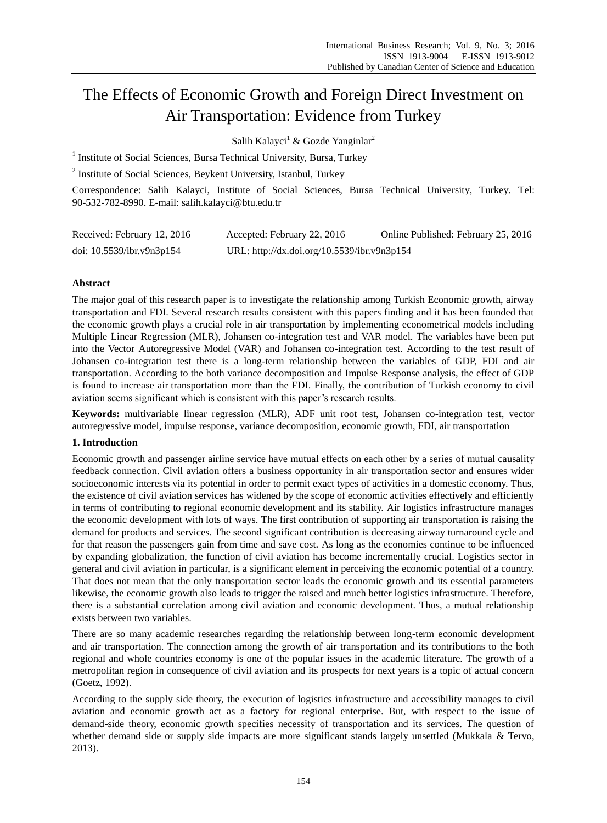# The Effects of Economic Growth and Foreign Direct Investment on Air Transportation: Evidence from Turkey

Salih Kalayci<sup>1</sup> & Gozde Yanginlar<sup>2</sup>

<sup>1</sup> Institute of Social Sciences, Bursa Technical University, Bursa, Turkey

<sup>2</sup> Institute of Social Sciences, Beykent University, Istanbul, Turkey

Correspondence: Salih Kalayci, Institute of Social Sciences, Bursa Technical University, Turkey. Tel: 90-532-782-8990. E-mail: salih.kalayci@btu.edu.tr

| Received: February 12, 2016 | Accepted: February 22, 2016                 | Online Published: February 25, 2016 |
|-----------------------------|---------------------------------------------|-------------------------------------|
| doi: 10.5539/ibr.v9n3p154   | URL: http://dx.doi.org/10.5539/ibr.v9n3p154 |                                     |

# **Abstract**

The major goal of this research paper is to investigate the relationship among Turkish Economic growth, airway transportation and FDI. Several research results consistent with this papers finding and it has been founded that the economic growth plays a crucial role in air transportation by implementing econometrical models including Multiple Linear Regression (MLR), Johansen co-integration test and VAR model. The variables have been put into the Vector Autoregressive Model (VAR) and Johansen co-integration test. According to the test result of Johansen co-integration test there is a long-term relationship between the variables of GDP, FDI and air transportation. According to the both variance decomposition and Impulse Response analysis, the effect of GDP is found to increase air transportation more than the FDI. Finally, the contribution of Turkish economy to civil aviation seems significant which is consistent with this paper's research results.

**Keywords:** multivariable linear regression (MLR), ADF unit root test, Johansen co-integration test, vector autoregressive model, impulse response, variance decomposition, economic growth, FDI, air transportation

# **1. Introduction**

Economic growth and passenger airline service have mutual effects on each other by a series of mutual causality feedback connection. Civil aviation offers a business opportunity in air transportation sector and ensures wider socioeconomic interests via its potential in order to permit exact types of activities in a domestic economy. Thus, the existence of civil aviation services has widened by the scope of economic activities effectively and efficiently in terms of contributing to regional economic development and its stability. Air logistics infrastructure manages the economic development with lots of ways. The first contribution of supporting air transportation is raising the demand for products and services. The second significant contribution is decreasing airway turnaround cycle and for that reason the passengers gain from time and save cost. As long as the economies continue to be influenced by expanding globalization, the function of civil aviation has become incrementally crucial. Logistics sector in general and civil aviation in particular, is a significant element in perceiving the economic potential of a country. That does not mean that the only transportation sector leads the economic growth and its essential parameters likewise, the economic growth also leads to trigger the raised and much better logistics infrastructure. Therefore, there is a substantial correlation among civil aviation and economic development. Thus, a mutual relationship exists between two variables.

There are so many academic researches regarding the relationship between long-term economic development and air transportation. The connection among the growth of air transportation and its contributions to the both regional and whole countries economy is one of the popular issues in the academic literature. The growth of a metropolitan region in consequence of civil aviation and its prospects for next years is a topic of actual concern (Goetz, 1992).

According to the supply side theory, the execution of logistics infrastructure and accessibility manages to civil aviation and economic growth act as a factory for regional enterprise. But, with respect to the issue of demand-side theory, economic growth specifies necessity of transportation and its services. The question of whether demand side or supply side impacts are more significant stands largely unsettled (Mukkala & Tervo, 2013).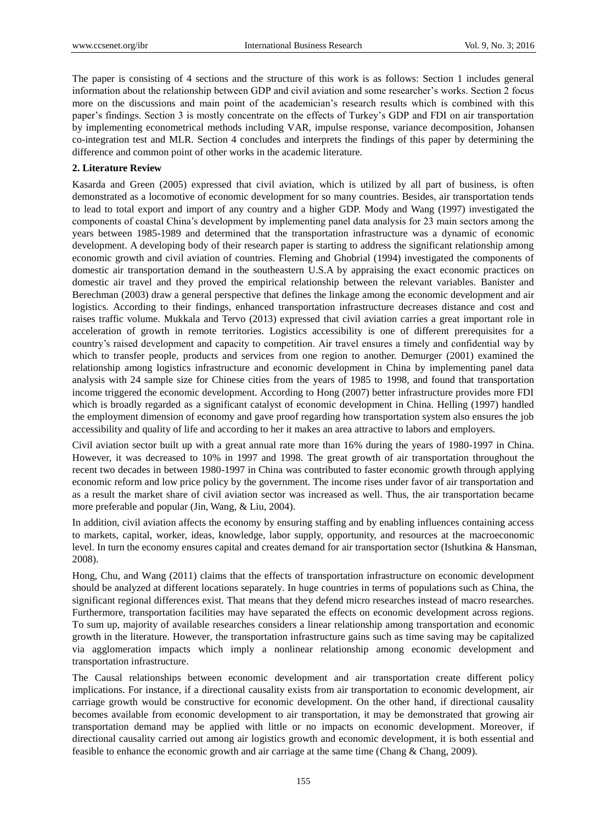The paper is consisting of 4 sections and the structure of this work is as follows: Section 1 includes general information about the relationship between GDP and civil aviation and some researcher's works. Section 2 focus more on the discussions and main point of the academician's research results which is combined with this paper's findings. Section 3 is mostly concentrate on the effects of Turkey's GDP and FDI on air transportation by implementing econometrical methods including VAR, impulse response, variance decomposition, Johansen co-integration test and MLR. Section 4 concludes and interprets the findings of this paper by determining the difference and common point of other works in the academic literature.

#### **2. Literature Review**

Kasarda and Green (2005) expressed that civil aviation, which is utilized by all part of business, is often demonstrated as a locomotive of economic development for so many countries. Besides, air transportation tends to lead to total export and import of any country and a higher GDP. Mody and Wang (1997) investigated the components of coastal China's development by implementing panel data analysis for 23 main sectors among the years between 1985-1989 and determined that the transportation infrastructure was a dynamic of economic development. A developing body of their research paper is starting to address the significant relationship among economic growth and civil aviation of countries. Fleming and Ghobrial (1994) investigated the components of domestic air transportation demand in the southeastern U.S.A by appraising the exact economic practices on domestic air travel and they proved the empirical relationship between the relevant variables. Banister and Berechman (2003) draw a general perspective that defines the linkage among the economic development and air logistics. According to their findings, enhanced transportation infrastructure decreases distance and cost and raises traffic volume. Mukkala and Tervo (2013) expressed that civil aviation carries a great important role in acceleration of growth in remote territories. Logistics accessibility is one of different prerequisites for a country's raised development and capacity to competition. Air travel ensures a timely and confidential way by which to transfer people, products and services from one region to another. Demurger (2001) examined the relationship among logistics infrastructure and economic development in China by implementing panel data analysis with 24 sample size for Chinese cities from the years of 1985 to 1998, and found that transportation income triggered the economic development. According to Hong (2007) better infrastructure provides more FDI which is broadly regarded as a significant catalyst of economic development in China. Helling (1997) handled the employment dimension of economy and gave proof regarding how transportation system also ensures the job accessibility and quality of life and according to her it makes an area attractive to labors and employers.

Civil aviation sector built up with a great annual rate more than 16% during the years of 1980-1997 in China. However, it was decreased to 10% in 1997 and 1998. The great growth of air transportation throughout the recent two decades in between 1980-1997 in China was contributed to faster economic growth through applying economic reform and low price policy by the government. The income rises under favor of air transportation and as a result the market share of civil aviation sector was increased as well. Thus, the air transportation became more preferable and popular (Jin, Wang, & Liu, 2004).

In addition, civil aviation affects the economy by ensuring staffing and by enabling influences containing access to markets, capital, worker, ideas, knowledge, labor supply, opportunity, and resources at the macroeconomic level. In turn the economy ensures capital and creates demand for air transportation sector (Ishutkina & Hansman, 2008).

Hong, Chu, and Wang (2011) claims that the effects of transportation infrastructure on economic development should be analyzed at different locations separately. In huge countries in terms of populations such as China, the significant regional differences exist. That means that they defend micro researches instead of macro researches. Furthermore, transportation facilities may have separated the effects on economic development across regions. To sum up, majority of available researches considers a linear relationship among transportation and economic growth in the literature. However, the transportation infrastructure gains such as time saving may be capitalized via agglomeration impacts which imply a nonlinear relationship among economic development and transportation infrastructure.

The Causal relationships between economic development and air transportation create different policy implications. For instance, if a directional causality exists from air transportation to economic development, air carriage growth would be constructive for economic development. On the other hand, if directional causality becomes available from economic development to air transportation, it may be demonstrated that growing air transportation demand may be applied with little or no impacts on economic development. Moreover, if directional causality carried out among air logistics growth and economic development, it is both essential and feasible to enhance the economic growth and air carriage at the same time (Chang & Chang, 2009).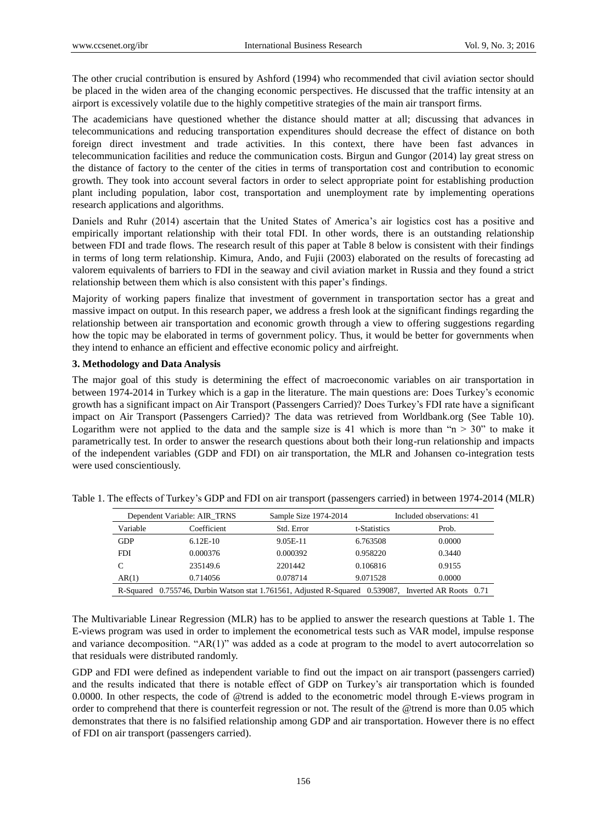The other crucial contribution is ensured by Ashford (1994) who recommended that civil aviation sector should be placed in the widen area of the changing economic perspectives. He discussed that the traffic intensity at an airport is excessively volatile due to the highly competitive strategies of the main air transport firms.

The academicians have questioned whether the distance should matter at all; discussing that advances in telecommunications and reducing transportation expenditures should decrease the effect of distance on both foreign direct investment and trade activities. In this context, there have been fast advances in telecommunication facilities and reduce the communication costs. Birgun and Gungor (2014) lay great stress on the distance of factory to the center of the cities in terms of transportation cost and contribution to economic growth. They took into account several factors in order to select appropriate point for establishing production plant including population, labor cost, transportation and unemployment rate by implementing operations research applications and algorithms.

Daniels and Ruhr (2014) ascertain that the United States of America's air logistics cost has a positive and empirically important relationship with their total FDI. In other words, there is an outstanding relationship between FDI and trade flows. The research result of this paper at Table 8 below is consistent with their findings in terms of long term relationship. Kimura, Ando, and Fujii (2003) elaborated on the results of forecasting ad valorem equivalents of barriers to FDI in the seaway and civil aviation market in Russia and they found a strict relationship between them which is also consistent with this paper's findings.

Majority of working papers finalize that investment of government in transportation sector has a great and massive impact on output. In this research paper, we address a fresh look at the significant findings regarding the relationship between air transportation and economic growth through a view to offering suggestions regarding how the topic may be elaborated in terms of government policy. Thus, it would be better for governments when they intend to enhance an efficient and effective economic policy and airfreight.

# **3. Methodology and Data Analysis**

The major goal of this study is determining the effect of macroeconomic variables on air transportation in between 1974-2014 in Turkey which is a gap in the literature. The main questions are: Does Turkey's economic growth has a significant impact on Air Transport (Passengers Carried)? Does Turkey's FDI rate have a significant impact on Air Transport (Passengers Carried)? The data was retrieved from Worldbank.org (See Table 10). Logarithm were not applied to the data and the sample size is 41 which is more than " $n > 30$ " to make it parametrically test. In order to answer the research questions about both their long-run relationship and impacts of the independent variables (GDP and FDI) on air transportation, the MLR and Johansen co-integration tests were used conscientiously.

|            | Dependent Variable: AIR_TRNS | Sample Size 1974-2014                                                                                |              | Included observations: 41 |
|------------|------------------------------|------------------------------------------------------------------------------------------------------|--------------|---------------------------|
| Variable   | Coefficient                  | Std. Error                                                                                           | t-Statistics | Prob.                     |
| <b>GDP</b> | $6.12E-10$                   | 9.05E-11                                                                                             | 6.763508     | 0.0000                    |
| <b>FDI</b> | 0.000376                     | 0.000392                                                                                             | 0.958220     | 0.3440                    |
| C          | 235149.6                     | 2201442                                                                                              | 0.106816     | 0.9155                    |
| AR(1)      | 0.714056                     | 0.078714                                                                                             | 9.071528     | 0.0000                    |
|            |                              | R-Squared 0.755746, Durbin Watson stat 1.761561, Adjusted R-Squared 0.539087, Inverted AR Roots 0.71 |              |                           |

Table 1. The effects of Turkey's GDP and FDI on air transport (passengers carried) in between 1974-2014 (MLR)

The Multivariable Linear Regression (MLR) has to be applied to answer the research questions at Table 1. The E-views program was used in order to implement the econometrical tests such as VAR model, impulse response and variance decomposition. "AR(1)" was added as a code at program to the model to avert autocorrelation so that residuals were distributed randomly.

GDP and FDI were defined as independent variable to find out the impact on air transport (passengers carried) and the results indicated that there is notable effect of GDP on Turkey's air transportation which is founded 0.0000. In other respects, the code of @trend is added to the econometric model through E-views program in order to comprehend that there is counterfeit regression or not. The result of the @trend is more than 0.05 which demonstrates that there is no falsified relationship among GDP and air transportation. However there is no effect of FDI on air transport (passengers carried).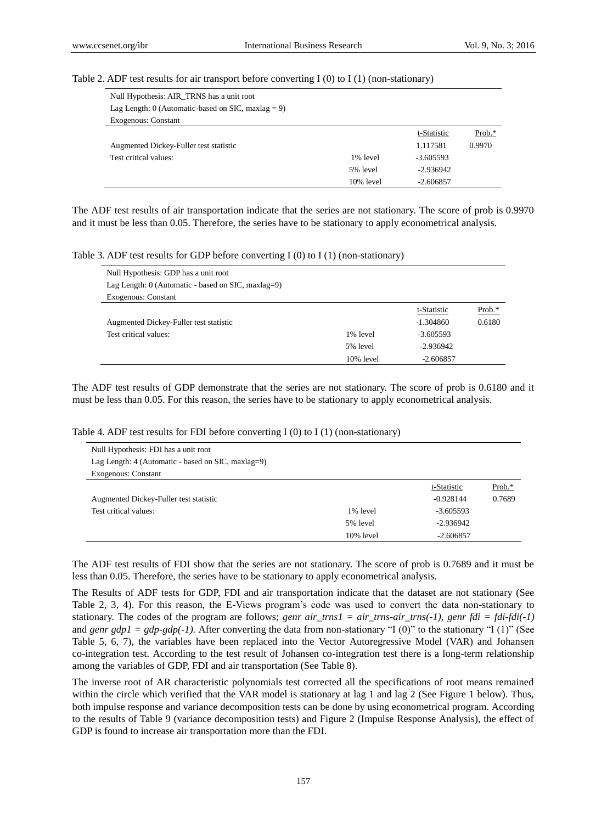#### Table 2. ADF test results for air transport before converting I  $(0)$  to I  $(1)$  (non-stationary)

| Null Hypothesis: AIR_TRNS has a unit root          |              |             |        |
|----------------------------------------------------|--------------|-------------|--------|
| Lag Length: 0 (Automatic-based on SIC, maxlag = 9) |              |             |        |
| <b>Exogenous: Constant</b>                         |              |             |        |
|                                                    |              | t-Statistic | Prob.* |
| Augmented Dickey-Fuller test statistic             |              | 1.117581    | 0.9970 |
| Test critical values:                              | 1% level     | $-3.605593$ |        |
|                                                    | 5% level     | $-2.936942$ |        |
|                                                    | $10\%$ level | $-2.606857$ |        |

The ADF test results of air transportation indicate that the series are not stationary. The score of prob is 0.9970 and it must be less than 0.05. Therefore, the series have to be stationary to apply econometrical analysis.

Table 3. ADF test results for GDP before converting I (0) to I (1) (non-stationary)

| Null Hypothesis: GDP has a unit root                 |           |             |           |
|------------------------------------------------------|-----------|-------------|-----------|
| Lag Length: $0$ (Automatic - based on SIC, maxlag=9) |           |             |           |
| <b>Exogenous: Constant</b>                           |           |             |           |
|                                                      |           | t-Statistic | Prob. $*$ |
| Augmented Dickey-Fuller test statistic               |           | $-1.304860$ | 0.6180    |
| Test critical values:                                | 1% level  | $-3.605593$ |           |
|                                                      | 5% level  | $-2.936942$ |           |
|                                                      | 10% level | $-2.606857$ |           |

The ADF test results of GDP demonstrate that the series are not stationary. The score of prob is 0.6180 and it must be less than 0.05. For this reason, the series have to be stationary to apply econometrical analysis.

| Null Hypothesis: FDI has a unit root                 |           |             |        |
|------------------------------------------------------|-----------|-------------|--------|
| Lag Length: $4$ (Automatic - based on SIC, maxlag=9) |           |             |        |
| <b>Exogenous: Constant</b>                           |           |             |        |
|                                                      |           | t-Statistic | Prob.* |
| Augmented Dickey-Fuller test statistic               |           | $-0.928144$ | 0.7689 |
| Test critical values:                                | 1% level  | $-3.605593$ |        |
|                                                      | 5% level  | $-2.936942$ |        |
|                                                      | 10% level | $-2.606857$ |        |

Table 4. ADF test results for FDI before converting I (0) to I (1) (non-stationary)

The ADF test results of FDI show that the series are not stationary. The score of prob is 0.7689 and it must be less than 0.05. Therefore, the series have to be stationary to apply econometrical analysis.

The Results of ADF tests for GDP, FDI and air transportation indicate that the dataset are not stationary (See Table 2, 3, 4). For this reason, the E-Views program's code was used to convert the data non-stationary to stationary. The codes of the program are follows; *genr air\_trns1* =  $air\_rms-air\_rms(-1)$ , *genr fdi* =  $fdi-fdi(-1)$ and *genr gdp1* =  $gdp-gdp(-1)$ . After converting the data from non-stationary "I (0)" to the stationary "I (1)" (See Table 5, 6, 7), the variables have been replaced into the Vector Autoregressive Model (VAR) and Johansen co-integration test. According to the test result of Johansen co-integration test there is a long-term relationship among the variables of GDP, FDI and air transportation (See Table 8).

The inverse root of AR characteristic polynomials test corrected all the specifications of root means remained within the circle which verified that the VAR model is stationary at lag 1 and lag 2 (See Figure 1 below). Thus, both impulse response and variance decomposition tests can be done by using econometrical program. According to the results of Table 9 (variance decomposition tests) and Figure 2 (Impulse Response Analysis), the effect of GDP is found to increase air transportation more than the FDI.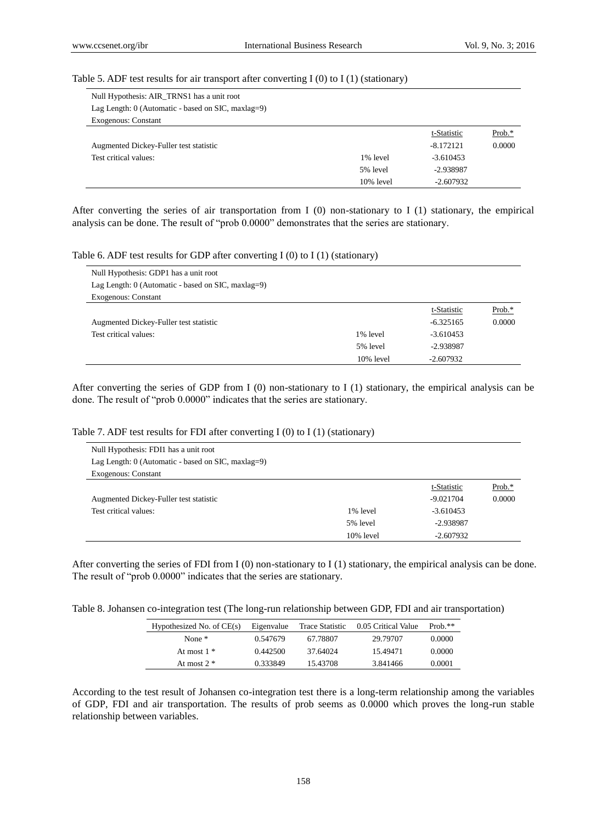#### Table 5. ADF test results for air transport after converting I (0) to I (1) (stationary)

| Null Hypothesis: AIR_TRNS1 has a unit root           |              |             |        |
|------------------------------------------------------|--------------|-------------|--------|
| Lag Length: $0$ (Automatic - based on SIC, maxlag=9) |              |             |        |
| <b>Exogenous: Constant</b>                           |              |             |        |
|                                                      |              | t-Statistic | Prob.* |
| Augmented Dickey-Fuller test statistic               |              | $-8.172121$ | 0.0000 |
| Test critical values:                                | 1% level     | $-3.610453$ |        |
|                                                      | 5% level     | -2.938987   |        |
|                                                      | $10\%$ level | $-2.607932$ |        |

After converting the series of air transportation from I (0) non-stationary to I (1) stationary, the empirical analysis can be done. The result of "prob 0.0000" demonstrates that the series are stationary.

## Table 6. ADF test results for GDP after converting  $I(0)$  to  $I(1)$  (stationary)

| Null Hypothesis: GDP1 has a unit root                |           |             |        |
|------------------------------------------------------|-----------|-------------|--------|
| Lag Length: $0$ (Automatic - based on SIC, maxlag=9) |           |             |        |
| <b>Exogenous: Constant</b>                           |           |             |        |
|                                                      |           | t-Statistic | Prob.* |
| Augmented Dickey-Fuller test statistic               |           | $-6.325165$ | 0.0000 |
| Test critical values:                                | 1% level  | $-3.610453$ |        |
|                                                      | 5% level  | -2.938987   |        |
|                                                      | 10% level | $-2.607932$ |        |
|                                                      |           |             |        |

After converting the series of GDP from I (0) non-stationary to I (1) stationary, the empirical analysis can be done. The result of "prob 0.0000" indicates that the series are stationary.

# Table 7. ADF test results for FDI after converting I (0) to I (1) (stationary)

| Null Hypothesis: FDI1 has a unit root                |              |             |        |
|------------------------------------------------------|--------------|-------------|--------|
| Lag Length: $0$ (Automatic - based on SIC, maxlag=9) |              |             |        |
| <b>Exogenous: Constant</b>                           |              |             |        |
|                                                      |              | t-Statistic | Prob.* |
| Augmented Dickey-Fuller test statistic               |              | $-9.021704$ | 0.0000 |
| Test critical values:                                | 1% level     | $-3.610453$ |        |
|                                                      | 5% level     | $-2.938987$ |        |
|                                                      | $10\%$ level | $-2.607932$ |        |

After converting the series of FDI from I  $(0)$  non-stationary to I  $(1)$  stationary, the empirical analysis can be done. The result of "prob 0.0000" indicates that the series are stationary.

Table 8. Johansen co-integration test (The long-run relationship between GDP, FDI and air transportation)

| Hypothesized No. of $CE(s)$ | Eigenvalue | Trace Statistic | 0.05 Critical Value | Prob. $**$ |
|-----------------------------|------------|-----------------|---------------------|------------|
| None $*$                    | 0.547679   | 67.78807        | 29.79707            | 0.0000     |
| At most $1 *$               | 0.442500   | 37.64024        | 15.49471            | 0.0000     |
| At most $2$ $*$             | 0.333849   | 15.43708        | 3.841466            | 0.0001     |

According to the test result of Johansen co-integration test there is a long-term relationship among the variables of GDP, FDI and air transportation. The results of prob seems as 0.0000 which proves the long-run stable relationship between variables.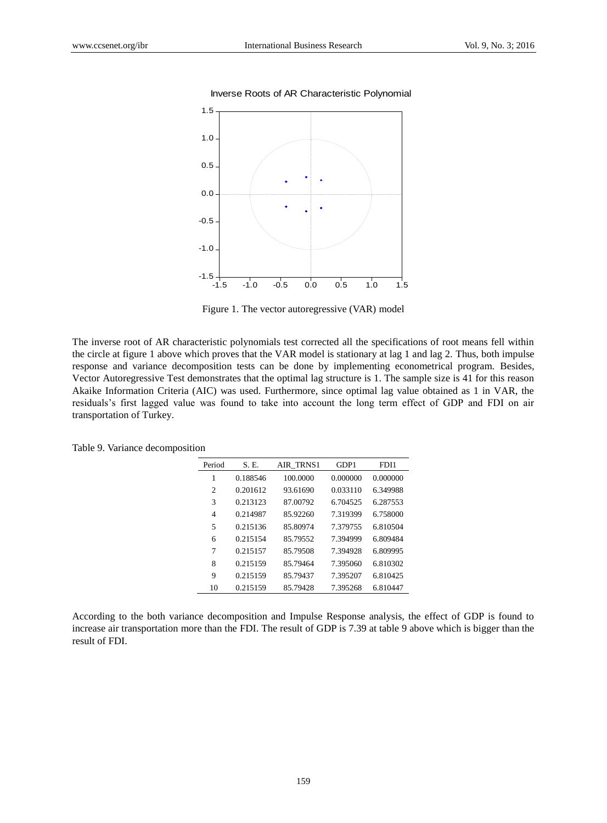

Inverse Roots of AR Characteristic Polynomial

Figure 1. The vector autoregressive (VAR) model

The inverse root of AR characteristic polynomials test corrected all the specifications of root means fell within the circle at figure 1 above which proves that the VAR model is stationary at lag 1 and lag 2. Thus, both impulse response and variance decomposition tests can be done by implementing econometrical program. Besides, Vector Autoregressive Test demonstrates that the optimal lag structure is 1. The sample size is 41 for this reason Akaike Information Criteria (AIC) was used. Furthermore, since optimal lag value obtained as 1 in VAR, the residuals's first lagged value was found to take into account the long term effect of GDP and FDI on air transportation of Turkey.

| Period | S. E.    | <b>AIR TRNS1</b> | GDP1     | FDI1     |
|--------|----------|------------------|----------|----------|
| 1      | 0.188546 | 100,0000         | 0.000000 | 0.000000 |
| 2      | 0.201612 | 93.61690         | 0.033110 | 6.349988 |
| 3      | 0.213123 | 87.00792         | 6.704525 | 6.287553 |
| 4      | 0.214987 | 85.92260         | 7.319399 | 6.758000 |
| 5      | 0.215136 | 85.80974         | 7.379755 | 6.810504 |
| 6      | 0.215154 | 85.79552         | 7.394999 | 6.809484 |
| 7      | 0.215157 | 85.79508         | 7.394928 | 6.809995 |
| 8      | 0.215159 | 85.79464         | 7.395060 | 6.810302 |
| 9      | 0.215159 | 85.79437         | 7.395207 | 6.810425 |
| 10     | 0.215159 | 85.79428         | 7.395268 | 6.810447 |

Table 9. Variance decomposition

According to the both variance decomposition and Impulse Response analysis, the effect of GDP is found to increase air transportation more than the FDI. The result of GDP is 7.39 at table 9 above which is bigger than the result of FDI.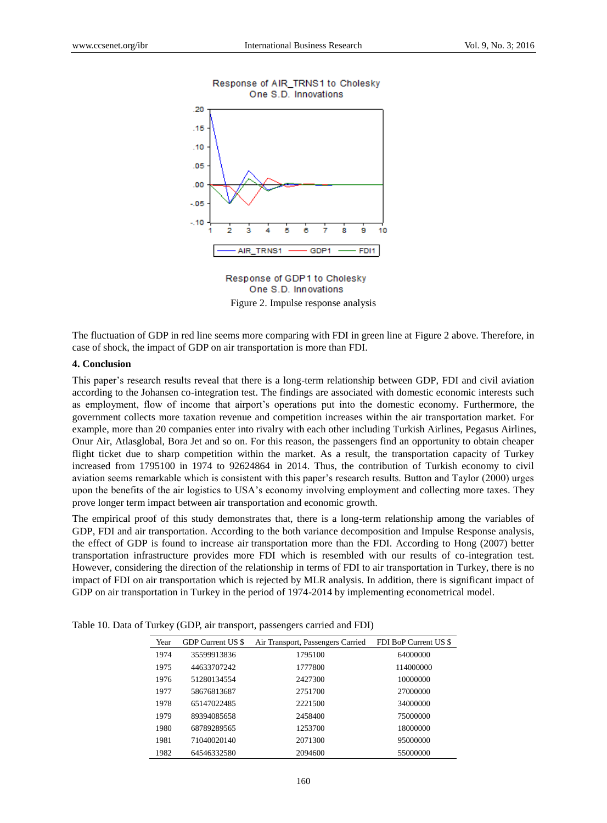

#### Response of AIR\_TRNS1 to Cholesky One S.D. Innovations

Response of GDP1 to Cholesky One S.D. Innovations Figure 2. Impulse response analysis

The fluctuation of GDP in red line seems more comparing with FDI in green line at Figure 2 above. Therefore, in case of shock, the impact of GDP on air transportation is more than FDI.

# **4. Conclusion**

This paper's research results reveal that there is a long-term relationship between GDP, FDI and civil aviation according to the Johansen co-integration test. The findings are associated with domestic economic interests such as employment, flow of income that airport's operations put into the domestic economy. Furthermore, the government collects more taxation revenue and competition increases within the air transportation market. For example, more than 20 companies enter into rivalry with each other including Turkish Airlines, Pegasus Airlines, Onur Air, Atlasglobal, Bora Jet and so on. For this reason, the passengers find an opportunity to obtain cheaper flight ticket due to sharp competition within the market. As a result, the transportation capacity of Turkey increased from 1795100 in 1974 to 92624864 in 2014. Thus, the contribution of Turkish economy to civil aviation seems remarkable which is consistent with this paper's research results. Button and Taylor (2000) urges upon the benefits of the air logistics to USA's economy involving employment and collecting more taxes. They prove longer term impact between air transportation and economic growth.

The empirical proof of this study demonstrates that, there is a long-term relationship among the variables of GDP, FDI and air transportation. According to the both variance decomposition and Impulse Response analysis, the effect of GDP is found to increase air transportation more than the FDI. According to Hong (2007) better transportation infrastructure provides more FDI which is resembled with our results of co-integration test. However, considering the direction of the relationship in terms of FDI to air transportation in Turkey, there is no impact of FDI on air transportation which is rejected by MLR analysis. In addition, there is significant impact of GDP on air transportation in Turkey in the period of 1974-2014 by implementing econometrical model.

| Year | GDP Current US \$ | Air Transport, Passengers Carried | FDI BoP Current US \$ |
|------|-------------------|-----------------------------------|-----------------------|
| 1974 | 35599913836       | 1795100                           | 64000000              |
| 1975 | 44633707242       | 1777800                           | 114000000             |
| 1976 | 51280134554       | 2427300                           | 10000000              |
| 1977 | 58676813687       | 2751700                           | 27000000              |
| 1978 | 65147022485       | 2221500                           | 34000000              |
| 1979 | 89394085658       | 2458400                           | 75000000              |
| 1980 | 68789289565       | 1253700                           | 18000000              |
| 1981 | 71040020140       | 2071300                           | 95000000              |
| 1982 | 64546332580       | 2094600                           | 55000000              |

Table 10. Data of Turkey (GDP, air transport, passengers carried and FDI)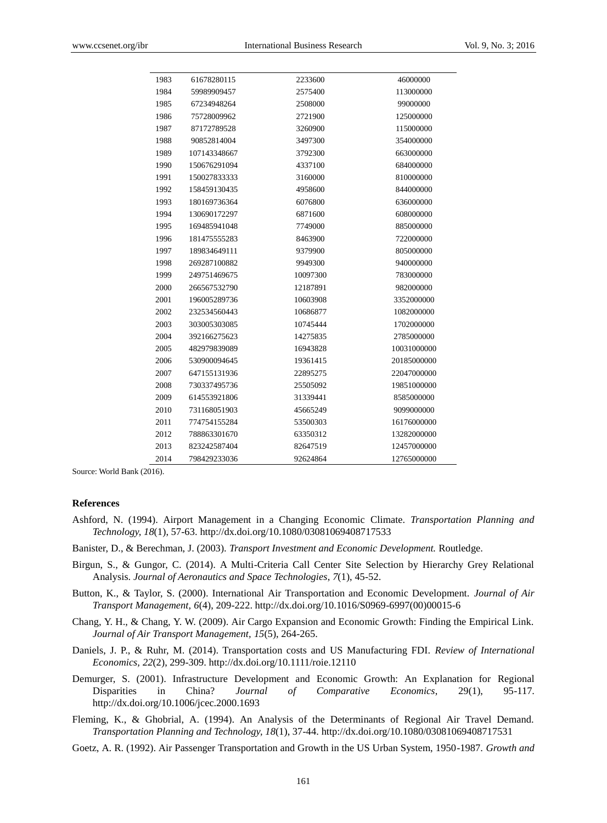| 1983 | 61678280115  | 2233600  | 46000000    |
|------|--------------|----------|-------------|
| 1984 | 59989909457  | 2575400  | 113000000   |
| 1985 | 67234948264  | 2508000  | 99000000    |
| 1986 | 75728009962  | 2721900  | 125000000   |
| 1987 | 87172789528  | 3260900  | 115000000   |
| 1988 | 90852814004  | 3497300  | 354000000   |
| 1989 | 107143348667 | 3792300  | 663000000   |
| 1990 | 150676291094 | 4337100  | 684000000   |
| 1991 | 150027833333 | 3160000  | 810000000   |
| 1992 | 158459130435 | 4958600  | 844000000   |
| 1993 | 180169736364 | 6076800  | 636000000   |
| 1994 | 130690172297 | 6871600  | 608000000   |
| 1995 | 169485941048 | 7749000  | 885000000   |
| 1996 | 181475555283 | 8463900  | 722000000   |
| 1997 | 189834649111 | 9379900  | 805000000   |
| 1998 | 269287100882 | 9949300  | 940000000   |
| 1999 | 249751469675 | 10097300 | 783000000   |
| 2000 | 266567532790 | 12187891 | 982000000   |
| 2001 | 196005289736 | 10603908 | 3352000000  |
| 2002 | 232534560443 | 10686877 | 1082000000  |
| 2003 | 303005303085 | 10745444 | 1702000000  |
| 2004 | 392166275623 | 14275835 | 2785000000  |
| 2005 | 482979839089 | 16943828 | 10031000000 |
| 2006 | 530900094645 | 19361415 | 20185000000 |
| 2007 | 647155131936 | 22895275 | 22047000000 |
| 2008 | 730337495736 | 25505092 | 19851000000 |
| 2009 | 614553921806 | 31339441 | 8585000000  |
| 2010 | 731168051903 | 45665249 | 9099000000  |
| 2011 | 774754155284 | 53500303 | 16176000000 |
| 2012 | 788863301670 | 63350312 | 13282000000 |
| 2013 | 823242587404 | 82647519 | 12457000000 |
| 2014 | 798429233036 | 92624864 | 12765000000 |
|      |              |          |             |

Source: World Bank (2016).

#### **References**

- Ashford, N. (1994). Airport Management in a Changing Economic Climate. *Transportation Planning and Technology, 18*(1), 57-63. http://dx.doi.org/10.1080/03081069408717533
- Banister, D., & Berechman, J. (2003). *Transport Investment and Economic Development.* Routledge.
- Birgun, S., & Gungor, C. (2014). A Multi-Criteria Call Center Site Selection by Hierarchy Grey Relational Analysis. *Journal of Aeronautics and Space Technologies*, *7*(1), 45-52.
- Button, K., & Taylor, S. (2000). International Air Transportation and Economic Development. *Journal of Air Transport Management, 6*(4), 209-222. http://dx.doi.org/10.1016/S0969-6997(00)00015-6
- Chang, Y. H., & Chang, Y. W. (2009). Air Cargo Expansion and Economic Growth: Finding the Empirical Link. *Journal of Air Transport Management, 15*(5), 264-265.
- Daniels, J. P., & Ruhr, M. (2014). Transportation costs and US Manufacturing FDI. *Review of International Economics, 22*(2), 299-309. http://dx.doi.org/10.1111/roie.12110
- Demurger, S. (2001). Infrastructure Development and Economic Growth: An Explanation for Regional Disparities in China? *Journal of Comparative Economics*, 29(1), 95-117. http://dx.doi.org/10.1006/jcec.2000.1693

Fleming, K., & Ghobrial, A. (1994). An Analysis of the Determinants of Regional Air Travel Demand. *Transportation Planning and Technology, 18*(1), 37-44. http://dx.doi.org/10.1080/03081069408717531

Goetz, A. R. (1992). Air Passenger Transportation and Growth in the US Urban System, 1950-1987. *Growth and*